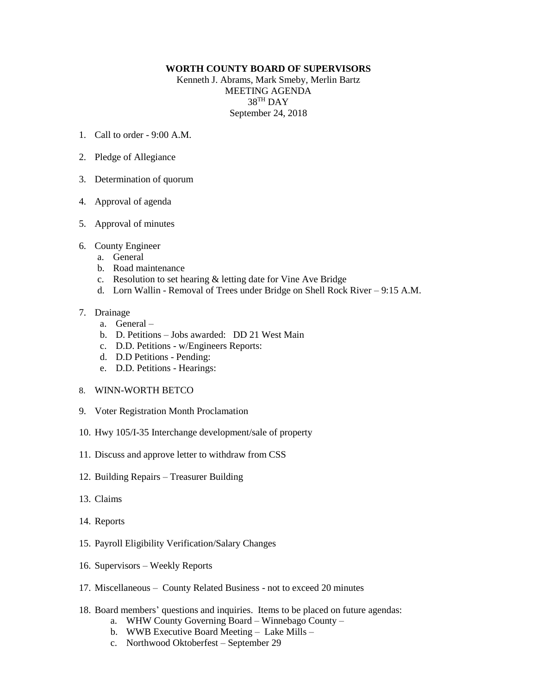## **WORTH COUNTY BOARD OF SUPERVISORS**

Kenneth J. Abrams, Mark Smeby, Merlin Bartz MEETING AGENDA  $38^{\text{TH}}$  DAY September 24, 2018

- 1. Call to order 9:00 A.M.
- 2. Pledge of Allegiance
- 3. Determination of quorum
- 4. Approval of agenda
- 5. Approval of minutes
- 6. County Engineer
	- a. General
	- b. Road maintenance
	- c. Resolution to set hearing & letting date for Vine Ave Bridge
	- d. Lorn Wallin Removal of Trees under Bridge on Shell Rock River 9:15 A.M.

## 7. Drainage

- a. General –
- b. D. Petitions Jobs awarded: DD 21 West Main
- c. D.D. Petitions w/Engineers Reports:
- d. D.D Petitions Pending:
- e. D.D. Petitions Hearings:
- 8. WINN-WORTH BETCO
- 9. Voter Registration Month Proclamation
- 10. Hwy 105/I-35 Interchange development/sale of property
- 11. Discuss and approve letter to withdraw from CSS
- 12. Building Repairs Treasurer Building
- 13. Claims
- 14. Reports
- 15. Payroll Eligibility Verification/Salary Changes
- 16. Supervisors Weekly Reports
- 17. Miscellaneous County Related Business not to exceed 20 minutes
- 18. Board members' questions and inquiries. Items to be placed on future agendas:
	- a. WHW County Governing Board Winnebago County –
	- b. WWB Executive Board Meeting Lake Mills –
	- c. Northwood Oktoberfest September 29